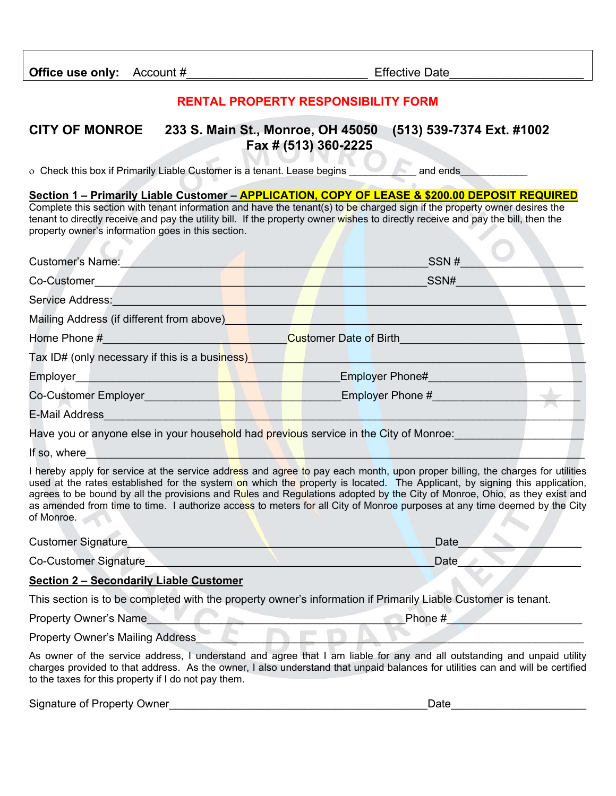## **RENTAL PROPERTY RESPONSIBILITY FORM**

## **CITY OF MONROE 233 S. Main St., Monroe, OH 45050 (513) 539-7374 Ext. #1002 Fax # (513) 360-2225**

o Check this box if Primarily Liable Customer is a tenant. Lease begins and ends

**Section 1 – Primarily Liable Customer – APPLICATION, COPY OF LEASE & \$200.00 DEPOSIT REQUIRED**  Complete this section with tenant information and have the tenant(s) to be charged sign if the property owner desires the tenant to directly receive and pay the utility bill. If the property owner wishes to directly receive and pay the bill, then the property owner's information goes in this section.

| <b>Customer's Name:</b>                        | SSN#                                                                                  |  |
|------------------------------------------------|---------------------------------------------------------------------------------------|--|
| Co-Customer                                    | SSN#                                                                                  |  |
| Service Address:                               |                                                                                       |  |
| Mailing Address (if different from above)      |                                                                                       |  |
| Home Phone #                                   | <b>Customer Date of Birth</b>                                                         |  |
| Tax ID# (only necessary if this is a business) |                                                                                       |  |
| Employer                                       | Employer Phone#                                                                       |  |
| <b>Co-Customer Employer</b>                    | Employer Phone #                                                                      |  |
| <b>E-Mail Address</b>                          |                                                                                       |  |
|                                                | Have you or anyone else in your household had previous service in the City of Monroe: |  |
| If so, where                                   |                                                                                       |  |

I hereby apply for service at the service address and agree to pay each month, upon proper billing, the charges for utilities used at the rates established for the system on which the property is located. The Applicant, by signing this application, agrees to be bound by all the provisions and Rules and Regulations adopted by the City of Monroe, Ohio, as they exist and as amended from time to time. I authorize access to meters for all City of Monroe purposes at any time deemed by the City of Monroe.

| <b>Customer Signature</b>    | Date |
|------------------------------|------|
| <b>Co-Customer Signature</b> | Date |

## **Section 2 – Secondarily Liable Customer**

This section is to be completed with the property owner's information if Primarily Liable Customer is tenant.

Property Owner's Name **All and Security Owner's Name** 

Property Owner's Mailing Address

As owner of the service address, I understand and agree that I am liable for any and all outstanding and unpaid utility charges provided to that address. As the owner, I also understand that unpaid balances for utilities can and will be certified to the taxes for this property if I do not pay them.

Signature of Property Owner\_\_\_\_\_\_\_\_\_\_\_\_\_\_\_\_\_\_\_\_\_\_\_\_\_\_\_\_\_\_\_\_\_\_\_\_\_\_\_\_\_\_Date\_\_\_\_\_\_\_\_\_\_\_\_\_\_\_\_\_\_\_\_\_\_